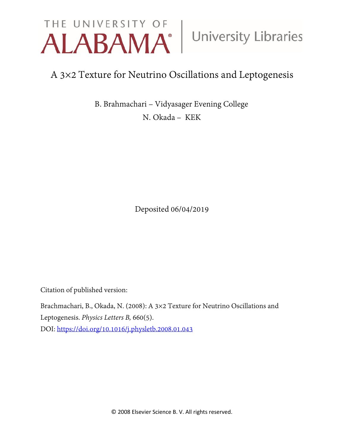# THE UNIVERSITY OF University Libraries

## A 3×2 Texture for Neutrino Oscillations and Leptogenesis

B. Brahmachari – Vidyasager Evening College

N. Okada – KEK

Deposited 06/04/2019

Citation of published version:

Brachmachari, B., Okada, N. (2008): A 3×2 Texture for Neutrino Oscillations and Leptogenesis. *Physics Letters B,* 660(5). DOI:<https://doi.org/10.1016/j.physletb.2008.01.043>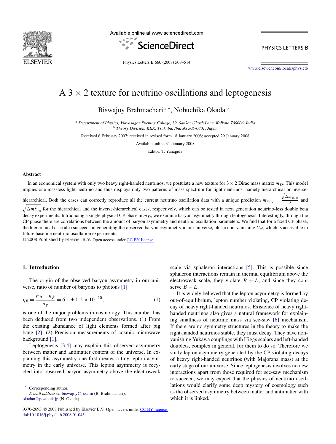

Available online at www.sciencedirect.com



Physics Letters B 660 (2008) 508–514

[www.elsevier.com/locate/physletb](http://www.elsevier.com/locate/physletb)

### $A$  3  $\times$  2 texture for neutrino oscillations and leptogenesis

Biswajoy Brahmachari<sup>a,∗</sup>, Nobuchika Okada<sup>b</sup>

<sup>a</sup> *Department of Physics, Vidyasagar Evening College, 39, Sankar Ghosh Lane, Kolkata 700006, India* <sup>b</sup> *Theory Division, KEK, Tsukuba, Ibaraki 305-0801, Japan*

Received 6 February 2007; received in revised form 18 January 2008; accepted 29 January 2008

Available online 31 January 2008

Editor: T. Yanagida

#### **Abstract**

In an economical system with only two heavy right-handed neutrinos, we postulate a new texture for  $3 \times 2$  Dirac mass matrix  $m<sub>D</sub>$ . This model implies one massless light neutrino and thus displays only two patterns of mass spectrum for light neutrinos, namely hierarchical or inverse-

hierarchical. Both the cases can correctly reproduce all the current neutrino oscillation data with a unique prediction  $m_{v_e v_e}$  = hierarchical. Both the cases can correctly reproduce all the current neutrino oscillation data with a unique prediction  $m_{v_e v_e} = \frac{\sqrt{\Delta m_{\text{solar}}^2}}{3}$  and

 $\sqrt{\Delta m_{\text{atm}}^2}$  for the hierarchical and the inverse-hierarchical cases, respectively, which can be tested in next generation neutrino-less double beta decay experiments. Introducing a single physical CP phase in  $m<sub>D</sub>$ , we examine baryon asymmetry through leptogenesis. Interestingly, through the CP phase there are correlations between the amount of baryon asymmetry and neutrino oscillation parameters. We find that for a fixed CP phase, the hierarchical case also succeeds in generating the observed baryon asymmetry in our universe, plus a non-vanishing  $U_{e3}$  which is accessible in future baseline neutrino oscillation experiments.

© 2008 Published by Elsevier B.V. Open access under [CC BY license.](http://creativecommons.org/licenses/by/3.0/)

#### **1. Introduction**

The origin of the observed baryon asymmetry in our universe, ratio of number of baryons to photons [\[1\]](#page-7-0)

$$
\eta_B = \frac{n_B - n_{\bar{B}}}{n_\gamma} = 6.1 \pm 0.2 \times 10^{-10},\tag{1}
$$

is one of the major problems in cosmology. This number has been deduced from two independent observations. (1) From the existing abundance of light elements formed after big bang [\[2\].](#page-7-0) (2) Precision measurements of cosmic microwave background [\[1\].](#page-7-0)

Leptogenesis [\[3,4\]](#page-7-0) may explain this observed asymmetry between matter and antimatter content of the universe. In explaining this asymmetry one first creates a tiny lepton asymmetry in the early universe. This lepton asymmetry is recycled into observed baryon asymmetry above the electroweak

Corresponding author.

*E-mail addresses:* [biswajoy@sssc.in](mailto:biswajoy@sssc.in) (B. Brahmachari), [okadan@post.kek.jp](mailto:okadan@post.kek.jp) (N. Okada).

scale via sphaleron interactions [\[5\].](#page-7-0) This is possible since sphaleron interactions remain in thermal equilibrium above the electroweak scale, they violate  $B + L$ , and since they conserve  $B - L$ .

It is widely believed that the lepton asymmetry is formed by out-of-equilibrium, lepton number violating, CP violating decay of heavy right-handed neutrinos. Existence of heavy righthanded neutrinos also gives a natural framework for explaining smallness of neutrino mass via see-saw [\[6\]](#page-7-0) mechanism. If there are no symmetry structures in the theory to make the right-handed neutrinos stable, they must decay. They have nonvanishing Yukawa couplings with Higgs scalars and left-handed doublets, complex in general, for them to do so. Therefore we study lepton asymmetry generated by the CP violating decays of heavy right-handed neutrinos (with Majorana mass) at the early stage of our universe. Since leptogenesis involves no new interactions apart from those required for see-saw mechanism to succeed, we may expect that the physics of neutrino oscillations would clarify some deep mystery of cosmology such as the observed asymmetry between matter and antimatter with which it is linked.

<sup>0370-2693 © 2008</sup> Published by Elsevier B.V. Open access under [CC BY license.](http://creativecommons.org/licenses/by/3.0/) [doi:10.1016/j.physletb.2008.01.043](http://dx.doi.org/10.1016/j.physletb.2008.01.043)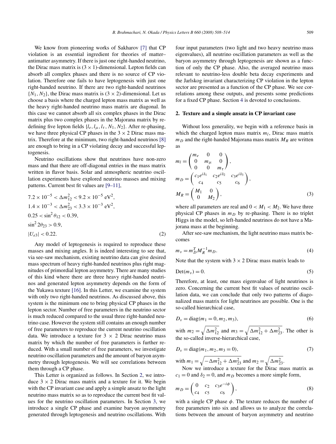<span id="page-2-0"></span>We know from pioneering works of Sakharov [\[7\]](#page-7-0) that CP violation is an essential ingredient for theories of matter– antimatter asymmetry. If there is just one right-handed neutrino, the Dirac mass matrix is  $(3 \times 1)$ -dimensional. Lepton fields can absorb all complex phases and there is no source of CP violation. Therefore one fails to have leptogenesis with just one right-handed neutrino. If there are two right-handed neutrinos  $\{N_1, N_2\}$ , the Dirac mass matrix is  $(3 \times 2)$ -dimensional. Let us choose a basis where the charged lepton mass matrix as well as the heavy right-handed neutrino mass matrix are diagonal. In this case we cannot absorb all six complex phases in the Dirac matrix plus two complex phases in the Majorana matrix by redefining five lepton fields  $\{l_e, l_\mu, l_\tau, N_1, N_2\}$ . After re-phasing, we have three physical CP phases in the  $3 \times 2$  Dirac mass matrix. Therefore at the minimum, two right-handed neutrinos [\[8\]](#page-7-0) are enough to bring in a CP violating decay and successful leptogenesis.

Neutrino oscillations show that neutrinos have non-zero mass and that there are off-diagonal entries in the mass matrix written in flavor basis. Solar and atmospheric neutrino oscillation experiments have explored neutrino masses and mixing patterns. Current best fit values are [\[9–11\],](#page-7-0)

$$
7.2 \times 10^{-5} < \Delta m_{12}^2 < 9.2 \times 10^{-5} \text{ eV}^2,
$$
  
\n
$$
1.4 \times 10^{-3} < \Delta m_{23}^2 < 3.3 \times 10^{-3} \text{ eV}^2,
$$
  
\n
$$
0.25 < \sin^2 \theta_{12} < 0.39,
$$
  
\n
$$
\sin^2 2\theta_{23} > 0.9,
$$
  
\n
$$
|U_{e3}| < 0.22.
$$
 (2)

Any model of leptogenesis is required to reproduce these masses and mixing angles. It is indeed interesting to see that, via see-saw mechanism, existing neutrino data can give desired mass spectrum of heavy right-handed neutrinos plus right magnitudes of primordial lepton asymmetry. There are many studies of this kind where there are three heavy right-handed neutrinos and generated lepton asymmetry depends on the form of the Yukawa texture [\[16\].](#page-7-0) In this Letter, we examine the system with only two right-handed neutrinos. As discussed above, this system is the minimum one to bring physical CP phases in the lepton sector. Number of free parameters in the neutrino sector is much reduced compared to the usual three right-handed neutrino case. However the system still contains an enough number of free parameters to reproduce the current neutrino oscillation data. We introduce a texture for  $3 \times 2$  Dirac neutrino mass matrix by which the number of free parameters is further reduced. With a small number of free parameters, we investigate neutrino oscillation parameters and the amount of baryon asymmetry through leptogenesis. We will see correlations between them through a CP phase.

This Letter is organized as follows. In Section 2, we introduce  $3 \times 2$  Dirac mass matrix and a texture for it. We begin with the CP invariant case and apply a simple ansatz to the light neutrino mass matrix so as to reproduce the current best fit values for the neutrino oscillation parameters. In Section [3,](#page-3-0) we introduce a single CP phase and examine baryon asymmetry generated through leptogenesis and neutrino oscillations. With four input parameters (two light and two heavy neutrino mass eigenvalues), all neutrino oscillation parameters as well as the baryon asymmetry through leptogenesis are shown as a function of only the CP phase. Also, the averaged neutrino mass relevant to neutrino-less double beta decay experiments and the Jarlskog invariant characterizing CP violation in the lepton sector are presented as a function of the CP phase. We see correlations among these outputs, and presents some predictions for a fixed CP phase. Section [4](#page-6-0) is devoted to conclusions.

#### **2. Texture and a simple ansatz in CP invariant case**

Without loss generality, we begin with a reference basis in which the charged lepton mass matrix  $m_l$ , Dirac mass matrix  $m_D$  and the right-handed Majorana mass matrix  $M_R$  are written as

$$
m_l = \begin{pmatrix} m_e & 0 & 0 \\ 0 & m_\mu & 0 \\ 0 & 0 & m_\tau \end{pmatrix},
$$
  
\n
$$
m_D = \begin{pmatrix} c_1 e^{i\delta_1} & c_2 e^{i\delta_2} & c_3 e^{i\delta_3} \\ c_4 & c_5 & c_6 \end{pmatrix},
$$
  
\n
$$
M_R = \begin{pmatrix} M_1 & 0 \\ 0 & M_2 \end{pmatrix},
$$
\n(3)

where all parameters are real and  $0 < M_1 < M_2$ . We have three physical CP phases in  $m<sub>D</sub>$  by re-phasing. There is no triplet Higgs in the model, so left-handed neutrinos do not have a Majorana mass at the beginning.

After see-saw mechanism, the light neutrino mass matrix becomes

$$
m_{\nu} = m_D^T M_R^{-1} m_D. \tag{4}
$$

Note that the system with  $3 \times 2$  Dirac mass matrix leads to

$$
Det(m_v) = 0.
$$
 (5)

Therefore, at least, one mass eigenvalue of light neutrinos is zero. Concerning the current best fit values of neutrino oscillation data, we can conclude that only two patterns of diagonalized mass matrix for light neutrinos are possible. One is the so-called hierarchical case,

$$
D_v = \text{diag}(m_1 = 0, m_2, m_3),\tag{6}
$$

with  $m_2 = \sqrt{\Delta m_{12}^2}$  and  $m_3 = \sqrt{\Delta m_{12}^2 + \Delta m_{23}^2}$ . The other is the so-called inverse-hierarchical case,

$$
D_{\nu} = \text{diag}(m_1, m_2, m_3 = 0),\tag{7}
$$

with  $m_1 = \sqrt{-\Delta m_{12}^2 + \Delta m_{23}^2}$  and  $m_2 = \sqrt{\Delta m_{23}^2}$ .

Now we introduce a texture for the Dirac mass matrix as  $c_1 = 0$  and  $\delta_2 = 0$ , and  $m_D$  becomes a more simple form,

$$
m_D = \begin{pmatrix} 0 & c_2 & c_3 e^{-i\phi} \\ c_4 & c_5 & c_6 \end{pmatrix},
$$
 (8)

with a single CP phase  $\phi$ . The texture reduces the number of free parameters into six and allows us to analyze the correlations between the amount of baryon asymmetry and neutrino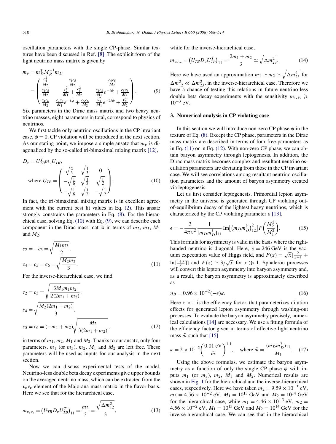<span id="page-3-0"></span>
$$
m_{\nu} = m_{D}^{T} M_{R}^{-1} m_{D}
$$
  
= 
$$
\begin{pmatrix} \frac{c_{4}^{2}}{M_{2}} & \frac{c_{4}c_{5}}{M_{2}} & \frac{c_{4}c_{6}}{M_{2}}\\ \frac{c_{4}c_{5}}{M_{2}} & \frac{c_{2}^{2}}{M_{1}} + \frac{c_{5}^{2}}{M_{2}} & \frac{c_{2}c_{3}}{M_{1}}e^{-i\phi} + \frac{c_{5}c_{6}}{M_{2}}\\ \frac{c_{4}c_{6}}{M_{2}} & \frac{c_{2}c_{3}}{M_{1}}e^{-i\phi} + \frac{c_{5}c_{6}}{M_{2}} & \frac{c_{3}^{2}}{M_{1}}e^{-2i\phi} + \frac{c_{6}^{2}}{M_{2}} \end{pmatrix}.
$$
 (9)

Six parameters in the Dirac mass matrix and two heavy neutrino masses, eight parameters in total, correspond to physics of neutrinos.

We first tackle only neutrino oscillations in the CP invariant case,  $\phi = 0$ . CP violation will be introduced in the next section. As our stating point, we impose a simple ansatz that  $m<sub>v</sub>$  is diagonalized by the so-called tri-bimaximal mixing matrix [\[12\],](#page-7-0)

$$
D_{\nu} = U_{TB}^{T} m_{\nu} U_{TB},
$$
  
where  $U_{TB} = \begin{pmatrix} \sqrt{\frac{2}{3}} & \sqrt{\frac{1}{3}} & 0\\ -\sqrt{\frac{1}{6}} & \sqrt{\frac{1}{3}} & \sqrt{\frac{1}{2}}\\ -\sqrt{\frac{1}{6}} & \sqrt{\frac{1}{3}} & -\sqrt{\frac{1}{2}} \end{pmatrix}.$  (10)

In fact, the tri-bimaximal mixing matrix is in excellent agreement with the current best fit values in Eq. [\(2\).](#page-2-0) This ansatz strongly constrains the parameters in Eq. [\(8\).](#page-2-0) For the hierarchical case, solving Eq. (10) with Eq. (9), we can describe each component in the Dirac mass matrix in terms of  $m_2$ ,  $m_3$ ,  $M_1$ and  $M_2$ ,

$$
c_2 = -c_3 = \sqrt{\frac{M_1 m_3}{2}},
$$
  
\n
$$
c_4 = c_5 = c_6 = \sqrt{\frac{M_2 m_2}{3}}.
$$
\n(11)

For the inverse-hierarchical case, we find

$$
c_2 = c_3 = \sqrt{\frac{3M_1m_1m_2}{2(2m_1 + m_2)}},
$$
  
\n
$$
c_4 = \sqrt{\frac{M_2(2m_1 + m_2)}{3}},
$$
  
\n
$$
c_5 = c_6 = (-m_1 + m_2)\sqrt{\frac{M_2}{3(2m_1 + m_2)}},
$$
\n(12)

in terms of  $m_1$ ,  $m_2$ ,  $M_1$  and  $M_2$ . Thanks to our ansatz, only four parameters,  $m_1$  (or  $m_3$ ),  $m_2$ ,  $M_1$  and  $M_2$  are left free. These parameters will be used as inputs for our analysis in the next section.

Now we can discuss experimental tests of the model. Neutrino-less double beta decay experiments give upper bounds on the averaged neutrino mass, which can be extracted from the *νeνe* element of the Majorana mass matrix in the flavor basis. Here we see that for the hierarchical case,

$$
m_{v_e v_e} = (U_{TB} D_v U_{TB}^T)_{11} = \frac{m_2}{3} = \frac{\sqrt{\Delta m_{12}^2}}{3},
$$
\n(13)

while for the inverse-hierarchical case,

$$
m_{v_e v_e} = (U_{TB} D_v U_{TB}^T)_{11} = \frac{2m_1 + m_2}{3} \simeq \sqrt{\Delta m_{23}^2}.
$$
 (14)

Here we have used an approximation  $m_1 \simeq m_2 \simeq \sqrt{\Delta m_{23}^2}$  for  $\Delta m_{12}^2 \ll \Delta m_{23}^2$ , in the inverse-hierarchical case. Therefore we have a chance of testing this relations in future neutrino-less double beta decay experiments with the sensitivity  $m_{v_e v_e} \ge$  $10^{-3}$  eV.

#### **3. Numerical analysis in CP violating case**

In this section we will introduce non-zero CP phase *φ* in the texture of Eq. [\(8\).](#page-2-0) Except the CP phase, parameters in the Dirac mass matrix are described in terms of four free parameters as in Eq. (11) or in Eq. (12). With non-zero CP phase, we can obtain baryon asymmetry through leptogenesis. In addition, the Dirac mass matrix becomes complex and resultant neutrino oscillation parameters are deviating from those in the CP invariant case. We will see correlations among resultant neutrino oscillation parameters and the amount of baryon asymmetry created via leptogenesis.

Let us first consider leptogenesis. Primordial lepton asymmetry in the universe is generated through CP violating outof-equilibrium decay of the lightest heavy neutrinos, which is characterized by the CP violating parameter  $\epsilon$  [\[13\],](#page-7-0)

$$
\epsilon = -\frac{3}{4\pi v^2} \frac{1}{[m_D m_D^{\dagger}]_{11}} \text{Im}[(m_D m_D^{\dagger})_{12}^2] F\left(\frac{M_2^2}{M_1^2}\right). \tag{15}
$$

This formula for asymmetry is valid in the basis where the righthanded neutrino is diagonal. Here,  $v = 246$  GeV is the vacmanded helithro is diagonal. Here,  $v = 240 \text{ GeV}$  is the vacuum expectation value of Higgs field, and  $F(x) = \sqrt{x} \left[ \frac{2}{x-1} + \frac{1}{x-1} \right]$ ln[ $\frac{1+x}{x}$ ]] and  $F(x) \simeq 3/\sqrt{x}$  for  $x \gg 1$ . Sphaleron processes will convert this lepton asymmetry into baryon asymmetry and, as a result, the baryon asymmetry is approximately described as

$$
\eta_B = 0.96 \times 10^{-2} (-\epsilon)\kappa. \tag{16}
$$

Here  $\kappa$  < 1 is the efficiency factor, that parameterizes dilution effects for generated lepton asymmetry through washing-out processes. To evaluate the baryon asymmetry precisely, numerical calculations [\[14\]](#page-7-0) are necessary. We use a fitting formula of the efficiency factor given in terms of effective light neutrino mass  $\tilde{m}$  such that [\[15\]](#page-7-0)

$$
\kappa = 2 \times 10^{-2} \left( \frac{0.01 \text{ eV}}{\tilde{m}} \right)^{1.1}
$$
, where  $\tilde{m} = \frac{(m_D m_D^{\dagger})_{11}}{M_1}$ . (17)

Using the above formulas, we estimate the baryon asymmetry as a function of only the single CP phase  $\phi$  with inputs *m*<sup>1</sup> (or *m*3), *m*2, *M*<sup>1</sup> and *M*2. Numerical results are shown in [Fig. 1](#page-4-0) for the hierarchical and the inverse-hierarchical cases, respectively. Here we have taken  $m_2 = 9.59 \times 10^{-3}$  eV,  $m_3 = 4.56 \times 10^{-2}$  eV,  $M_1 = 10^{13}$  GeV and  $M_2 = 10^{14}$  GeV for the hierarchical case, while  $m_1 = 4.46 \times 10^{-3}$  eV,  $m_2 =$  $4.56 \times 10^{-2}$  eV,  $M_1 = 10^{13}$  GeV and  $M_2 = 10^{14}$  GeV for the inverse-hierarchical case. We can see that in the hierarchical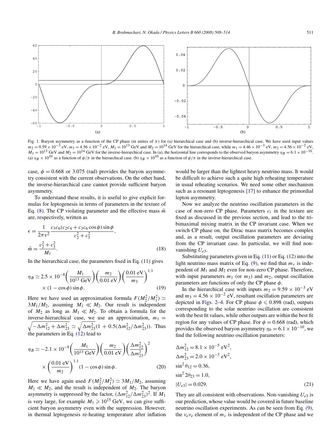<span id="page-4-0"></span>

Fig. 1. Baryon asymmetry as a function of the CP phase (in unites of  $\pi$ ) for (a) hierarchical case and (b) inverse-hierarchical case. We have used input values  $m_2 = 9.59 \times 10^{-3}$  eV,  $m_3 = 4.56 \times 10^{-2}$  eV,  $M_1 = 10^{13$  $M_1 = 10^{13}$  GeV and  $M_2 = 10^{14}$  GeV for the inverse-hierarchical case. In (a), the horizontal line corresponds to the observed baryon asymmetry  $\eta_B = 6.1 \times 10^{-10}$ . (a)  $\eta_B \times 10^{10}$  as a function of  $\phi/\pi$  in the hierarchical case. (b)  $\eta_B \times 10^{10}$  as a function of  $\phi/\pi$  in the inverse-hierarchical case.

case,  $\phi = 0.668$  or 3.075 (rad) provides the baryon asymmetry consistent with the current observations. On the other hand, the inverse-hierarchical case cannot provide sufficient baryon asymmetry.

To understand these results, it is useful to give explicit formulas for leptogenesis in terms of parameters in the texture of Eq. [\(8\).](#page-2-0) The CP violating parameter and the effective mass  $\tilde{m}$ are, respectively, written as

$$
\epsilon = \frac{1}{2\pi v^2} \frac{c_3 c_6 (c_2 c_4 + c_3 c_6 \cos \phi) \sin \phi}{c_2^2 + c_3^2},
$$
  

$$
\tilde{m} = \frac{c_2^2 + c_3^2}{M_1}.
$$
 (18)

In the hierarchical case, the parameters fixed in Eq. [\(11\)](#page-3-0) gives

$$
\eta_B \simeq 2.5 \times 10^{-8} \left( \frac{M_1}{10^{13} \text{ GeV}} \right) \left( \frac{m_2}{0.01 \text{ eV}} \right) \left( \frac{0.01 \text{ eV}}{m_3} \right)^{1.1} \times (1 - \cos \phi) \sin \phi.
$$
 (19)

Here we have used an approximation formula  $F(M_2^2/M_1^2) \simeq$  $3M_1/M_2$ , assuming  $M_1 \ll M_2$ . Our result is independent of  $M_2$  as long as  $M_1 \ll M_2$ . To obtain a formula for the  $\sqrt{-\Delta m_{12}^2 + \Delta m_{23}^2} \simeq \sqrt{\Delta m_{23}^2} (1 + 0.5(\Delta m_{12}^2/\Delta m_{23}^2))$ . Thus inverse-hierarchical case, we use an approximation,  $m_1$  = the parameters in Eq. [\(12\)](#page-3-0) lead to

$$
\eta_B \simeq -2.1 \times 10^{-9} \left( \frac{M_1}{10^{13} \text{ GeV}} \right) \left( \frac{m_2}{0.01 \text{ eV}} \right) \left( \frac{\Delta m_{12}^2}{\Delta m_{23}^2} \right)^2
$$

$$
\times \left( \frac{0.01 \text{ eV}}{m_2} \right)^{1.1} (1 - \cos \phi) \sin \phi. \tag{20}
$$

Here we have again used  $F(M_2^2/M_1^2) \simeq 3M_1/M_2$ , assuming  $M_1 \ll M_2$ , and the result is independent of  $M_2$ . The baryon asymmetry is suppressed by the factor,  $(\Delta m_{12}^2 / \Delta m_{23}^2)^2$ . If  $M_1$ is very large, for example  $M_1 \geqslant 10^{15}$  GeV, we can give sufficient baryon asymmetry even with the suppression. However, in thermal leptogenesis re-heating temperature after inflation would be larger than the lightest heavy neutrino mass. It would be difficult to achieve such a quite high reheating temperature in usual reheating scenarios. We need some other mechanism such as a resonant leptogenesis [\[17\]](#page-7-0) to enhance the primordial lepton asymmetry.

Now we analyze the neutrino oscillation parameters in the case of non-zero CP phase. Parameters *ci* in the texture are fixed as discussed in the previous section, and lead to the tribimaximal mixing matrix in the CP invariant case. When we switch CP phase on, the Dirac mass matrix becomes complex and, as a result, output oscillation parameters are deviating from the CP invariant case. In particular, we will find nonvanishing *Ue*3.

Substituting parameters given in Eq. [\(11\)](#page-3-0) or Eq. [\(12\)](#page-3-0) into the light neutrino mass matrix of Eq. [\(9\),](#page-3-0) we find that  $m<sub>v</sub>$  is independent of *M*<sup>1</sup> and *M*<sup>2</sup> even for non-zero CP phase. Therefore, with input parameters  $m_1$  (or  $m_3$ ) and  $m_2$ , output oscillation parameters are functions of only the CP phase *φ*.

In the hierarchical case with inputs  $m_2 = 9.59 \times 10^{-3}$  eV and  $m_3 = 4.56 \times 10^{-2}$  eV, resultant oscillation parameters are depicted in [Figs. 2–4.](#page-5-0) For CP phase  $\phi \leq 0.898$  (rad), outputs corresponding to the solar neutrino oscillation are consistent with the best fit values, while other outputs are within the best fit region for any values of CP phase. For  $\phi = 0.668$  (rad), which provides the observed baryon asymmetry  $\eta_b = 6.1 \times 10^{-10}$ , we find the following neutrino oscillation parameters:

$$
\Delta m_{12}^2 = 8.1 \times 10^{-5} \text{ eV}^2,
$$
  
\n
$$
\Delta m_{23}^2 = 2.0 \times 10^{-3} \text{ eV}^2,
$$
  
\n
$$
\sin^2 \theta_{12} = 0.36,
$$
  
\n
$$
\sin^2 2\theta_{23} = 1.0,
$$
  
\n
$$
|U_{e3}| = 0.029.
$$
 (21)

They are all consistent with observations. Non-vanishing  $U_{e3}$  is our prediction, whose value would be covered in future baseline neutrino oscillation experiments. As can be seen from Eq. [\(9\),](#page-3-0) the  $v_e v_e$  element of  $m_v$  is independent of the CP phase and we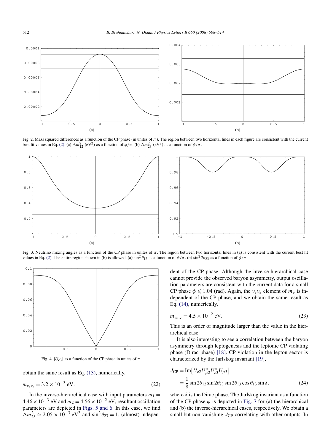<span id="page-5-0"></span>

Fig. 2. Mass squared differences as a function of the CP phase (in unites of  $\pi$ ). The region between two horizontal lines in each figure are consistent with the current best fit values in Eq. [\(2\).](#page-2-0) (a)  $\Delta m_{12}^2$  (eV<sup>2</sup>) as a function of  $\phi/\pi$ . (b)  $\Delta m_{23}^2$  (eV<sup>2</sup>) as a function of  $\phi/\pi$ .



Fig. 3. Neutrino mixing angles as a function of the CP phase in unites of  $\pi$ . The region between two horizontal lines in (a) is consistent with the current best fit values in Eq. [\(2\).](#page-2-0) The entire region shown in (b) is allowed. (a)  $\sin^2 \theta_{12}$  as a function of  $\phi/\pi$ . (b)  $\sin^2 2\theta_{23}$  as a function of  $\phi/\pi$ .



Fig. 4.  $|U_{e3}|$  as a function of the CP phase in unites of  $\pi$ .

obtain the same result as Eq. [\(13\),](#page-3-0) numerically,

$$
m_{v_e v_e} = 3.2 \times 10^{-3} \text{ eV}.
$$
 (22)

In the inverse-hierarchical case with input parameters  $m_1 =$  $4.46 \times 10^{-3}$  eV and  $m_2 = 4.56 \times 10^{-2}$  eV, resultant oscillation parameters are depicted in [Figs. 5 and 6.](#page-6-0) In this case, we find  $\Delta m_{23}^2 \simeq 2.05 \times 10^{-3} \text{ eV}^2$  and  $\sin^2 \theta_{23} = 1$ , (almost) independent of the CP-phase. Although the inverse-hierarchical case cannot provide the observed baryon asymmetry, output oscillation parameters are consistent with the current data for a small CP phase  $\phi \leq 1.04$  (rad). Again, the  $v_e v_e$  element of  $m_v$  is independent of the CP phase, and we obtain the same result as Eq. [\(14\),](#page-3-0) numerically,

$$
m_{v_e v_e} = 4.5 \times 10^{-2} \text{ eV}.
$$
 (23)

This is an order of magnitude larger than the value in the hierarchical case.

It is also interesting to see a correlation between the baryon asymmetry through leptogenesis and the leptonic CP violating phase (Dirac phase) [\[18\].](#page-7-0) CP violation in the lepton sector is characterized by the Jarlskog invariant [\[19\],](#page-7-0)

$$
J_{\rm CP} = \text{Im}[U_{e2}U_{\mu 2}^* U_{e3}^* U_{\mu 3}]
$$
  
=  $\frac{1}{8}$  sin 2 $\theta_{12}$  sin 2 $\theta_{23}$  sin 2 $\theta_{13}$  cos  $\theta_{13}$  sin  $\delta$ , (24)

where  $\delta$  is the Dirac phase. The Jarlskog invariant as a function of the CP phase  $\phi$  is depicted in [Fig. 7](#page-7-0) for (a) the hierarchical and (b) the inverse-hierarchical cases, respectively. We obtain a small but non-vanishing  $J_{\rm CP}$  correlating with other outputs. In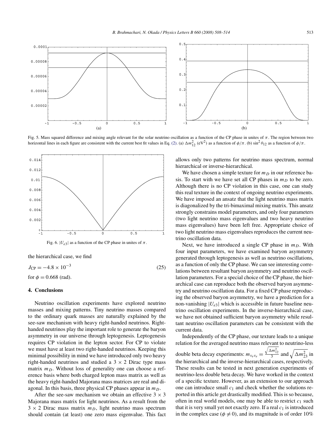<span id="page-6-0"></span>

Fig. 5. Mass squared difference and mixing angle relevant for the solar neutrino oscillation as a function of the CP phase in unites of *π*. The region between two horizontal lines in each figure are consistent with the current best fit values in Eq. [\(2\).](#page-2-0) (a)  $\Delta m_{12}^2$  (eV<sup>2</sup>) as a function of  $\phi/\pi$ . (b)  $\sin^2 \theta_{12}$  as a function of  $\phi/\pi$ .





the hierarchical case, we find

 $J_{CP} = -4.8 \times 10^{-3}$  (25) for  $\phi = 0.668$  (rad).

#### **4. Conclusions**

Neutrino oscillation experiments have explored neutrino masses and mixing patterns. Tiny neutrino masses compared to the ordinary quark masses are naturally explained by the see-saw mechanism with heavy right-handed neutrinos. Righthanded neutrinos play the important role to generate the baryon asymmetry in our universe through leptogenesis. Leptogenesis requires CP violation in the lepton sector. For CP to violate we must have at least two right-handed neutrinos. Keeping this minimal possibility in mind we have introduced only two heavy right-handed neutrinos and studied a  $3 \times 2$  Dirac type mass matrix  $m<sub>D</sub>$ . Without loss of generality one can choose a reference basis where both charged lepton mass matrix as well as the heavy right-handed Majorana mass matrices are real and diagonal. In this basis, three physical CP phases appear in  $m<sub>D</sub>$ .

After the see-saw mechanism we obtain an effective  $3 \times 3$ Majorana mass matrix for light neutrinos. As a result from the  $3 \times 2$  Dirac mass matrix  $m_D$ , light neutrino mass spectrum should contain (at least) one zero mass eigenvalue. This fact allows only two patterns for neutrino mass spectrum, normal hierarchical or inverse-hierarchical.

We have chosen a simple texture for  $m<sub>D</sub>$  in our reference basis. To start with we have set all CP phases in  $m<sub>D</sub>$  to be zero. Although there is no CP violation in this case, one can study this real texture in the context of ongoing neutrino experiments. We have imposed an ansatz that the light neutrino mass matrix is diagonalized by the tri-bimaximal mixing matrix. This ansatz strongly constrains model parameters, and only four parameters (two light neutrino mass eigenvalues and two heavy neutrino mass eigenvalues) have been left free. Appropriate choice of two light neutrino mass eigenvalues reproduces the current neutrino oscillation data.

Next, we have introduced a single CP phase in  $m<sub>D</sub>$ . With four input parameters, we have examined baryon asymmetry generated through leptogenesis as well as neutrino oscillations, as a function of only the CP phase. We can see interesting correlations between resultant baryon asymmetry and neutrino oscillation parameters. For a special choice of the CP phase, the hierarchical case can reproduce both the observed baryon asymmetry and neutrino oscillation data. For a fixed CP phase reproducing the observed baryon asymmetry, we have a prediction for a non-vanishing  $|U_{e3}|$  which is accessible in future baseline neutrino oscillation experiments. In the inverse-hierarchical case, we have not obtained sufficient baryon asymmetry while resultant neutrino oscillation parameters can be consistent with the current data.

Independently of the CP phase, our texture leads to a unique relation for the averaged neutrino mass relevant to neutrino-less double beta decay experiments: *mνeνe* =  $\frac{\sqrt{\Delta m_{12}^2}}{3}$  and  $\sqrt{\Delta m_{23}^2}$  in the hierarchical and the inverse-hierarchical cases, respectively. These results can be tested in next generation experiments of neutrino-less double beta decay. We have worked in the context of a specific texture. However, as an extension to our approach one can introduce small  $c_1$  and check whether the solutions reported in this article get drastically modified. This is so because, often in real world models, one may be able to restrict  $c_1$  such that it is very small yet not exactly zero. If a real  $c_1$  is introduced in the complex case ( $\phi \neq 0$ ), and its magnitude is of order 10%